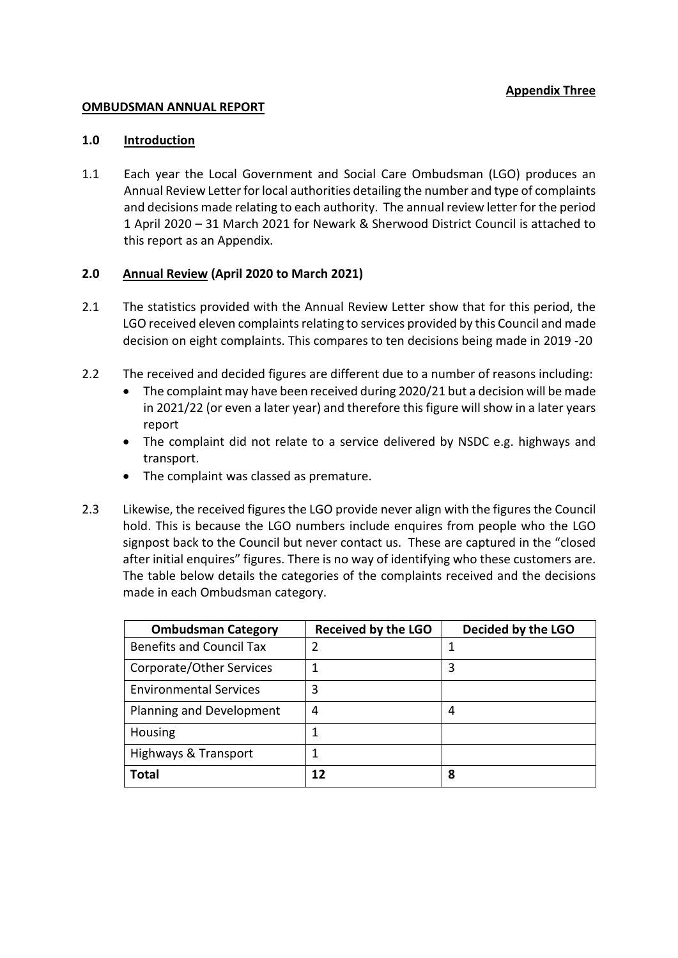## **OMBUDSMAN ANNUAL REPORT**

## **1.0 Introduction**

1.1 Each year the Local Government and Social Care Ombudsman (LGO) produces an Annual Review Letter for local authorities detailing the number and type of complaints and decisions made relating to each authority. The annual review letter for the period 1 April 2020 – 31 March 2021 for Newark & Sherwood District Council is attached to this report as an Appendix.

## **2.0 Annual Review (April 2020 to March 2021)**

- 2.1 The statistics provided with the Annual Review Letter show that for this period, the LGO received eleven complaints relating to services provided by this Council and made decision on eight complaints. This compares to ten decisions being made in 2019 -20
- 2.2 The received and decided figures are different due to a number of reasons including:
	- The complaint may have been received during 2020/21 but a decision will be made in 2021/22 (or even a later year) and therefore this figure will show in a later years report
	- The complaint did not relate to a service delivered by NSDC e.g. highways and transport.
	- The complaint was classed as premature.
- 2.3 Likewise, the received figures the LGO provide never align with the figures the Council hold. This is because the LGO numbers include enquires from people who the LGO signpost back to the Council but never contact us. These are captured in the "closed after initial enquires" figures. There is no way of identifying who these customers are. The table below details the categories of the complaints received and the decisions made in each Ombudsman category.

| <b>Ombudsman Category</b>       | <b>Received by the LGO</b> | Decided by the LGO |
|---------------------------------|----------------------------|--------------------|
| <b>Benefits and Council Tax</b> | 2                          |                    |
| Corporate/Other Services        |                            | 3                  |
| <b>Environmental Services</b>   | 3                          |                    |
| Planning and Development        | 4                          | 4                  |
| Housing                         | 1                          |                    |
| Highways & Transport            | 1                          |                    |
| <b>Total</b>                    | 12                         | 8                  |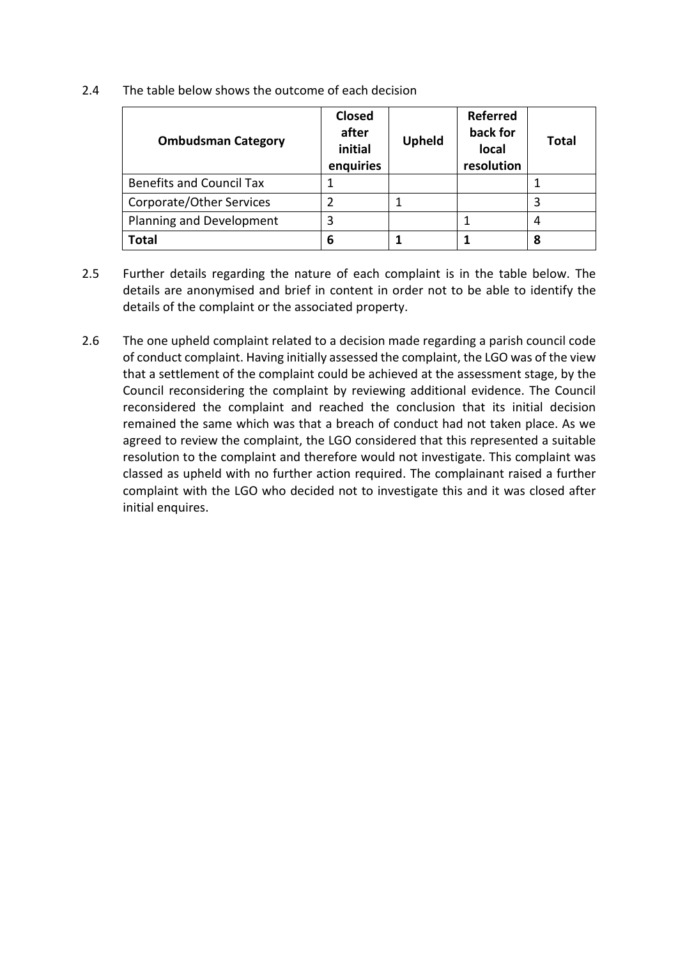2.4 The table below shows the outcome of each decision

| <b>Ombudsman Category</b>       | <b>Closed</b><br>after<br>initial<br>enquiries | <b>Upheld</b> | <b>Referred</b><br>back for<br>local<br>resolution | Total |  |
|---------------------------------|------------------------------------------------|---------------|----------------------------------------------------|-------|--|
| <b>Benefits and Council Tax</b> |                                                |               |                                                    |       |  |
| Corporate/Other Services        | $\overline{2}$                                 |               |                                                    | 3     |  |
| Planning and Development        | 3                                              |               |                                                    | 4     |  |
| Total                           | 6                                              |               |                                                    | 8     |  |

- 2.5 Further details regarding the nature of each complaint is in the table below. The details are anonymised and brief in content in order not to be able to identify the details of the complaint or the associated property.
- 2.6 The one upheld complaint related to a decision made regarding a parish council code of conduct complaint. Having initially assessed the complaint, the LGO was of the view that a settlement of the complaint could be achieved at the assessment stage, by the Council reconsidering the complaint by reviewing additional evidence. The Council reconsidered the complaint and reached the conclusion that its initial decision remained the same which was that a breach of conduct had not taken place. As we agreed to review the complaint, the LGO considered that this represented a suitable resolution to the complaint and therefore would not investigate. This complaint was classed as upheld with no further action required. The complainant raised a further complaint with the LGO who decided not to investigate this and it was closed after initial enquires.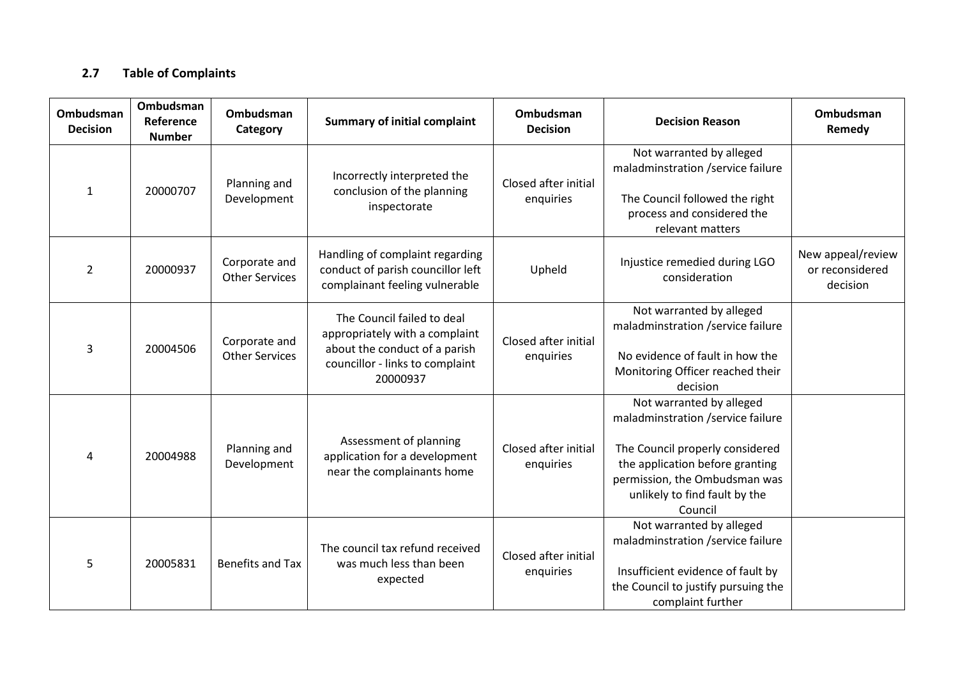## **2.7 Table of Complaints**

| Ombudsman<br><b>Decision</b> | Ombudsman<br>Reference<br><b>Number</b> | <b>Ombudsman</b><br>Category           | <b>Summary of initial complaint</b>                                                                                                          | Ombudsman<br><b>Decision</b>      | <b>Decision Reason</b>                                                                                                                                                                                           | Ombudsman<br>Remedy                              |
|------------------------------|-----------------------------------------|----------------------------------------|----------------------------------------------------------------------------------------------------------------------------------------------|-----------------------------------|------------------------------------------------------------------------------------------------------------------------------------------------------------------------------------------------------------------|--------------------------------------------------|
| $\mathbf{1}$                 | 20000707                                | Planning and<br>Development            | Incorrectly interpreted the<br>conclusion of the planning<br>inspectorate                                                                    | Closed after initial<br>enquiries | Not warranted by alleged<br>maladminstration /service failure<br>The Council followed the right<br>process and considered the<br>relevant matters                                                                |                                                  |
| $\overline{2}$               | 20000937                                | Corporate and<br><b>Other Services</b> | Handling of complaint regarding<br>conduct of parish councillor left<br>complainant feeling vulnerable                                       | Upheld                            | Injustice remedied during LGO<br>consideration                                                                                                                                                                   | New appeal/review<br>or reconsidered<br>decision |
| $\overline{3}$               | 20004506                                | Corporate and<br><b>Other Services</b> | The Council failed to deal<br>appropriately with a complaint<br>about the conduct of a parish<br>councillor - links to complaint<br>20000937 | Closed after initial<br>enquiries | Not warranted by alleged<br>maladminstration /service failure<br>No evidence of fault in how the<br>Monitoring Officer reached their<br>decision                                                                 |                                                  |
| 4                            | 20004988                                | Planning and<br>Development            | Assessment of planning<br>application for a development<br>near the complainants home                                                        | Closed after initial<br>enquiries | Not warranted by alleged<br>maladminstration /service failure<br>The Council properly considered<br>the application before granting<br>permission, the Ombudsman was<br>unlikely to find fault by the<br>Council |                                                  |
| 5                            | 20005831                                | <b>Benefits and Tax</b>                | The council tax refund received<br>was much less than been<br>expected                                                                       | Closed after initial<br>enquiries | Not warranted by alleged<br>maladminstration /service failure<br>Insufficient evidence of fault by<br>the Council to justify pursuing the<br>complaint further                                                   |                                                  |